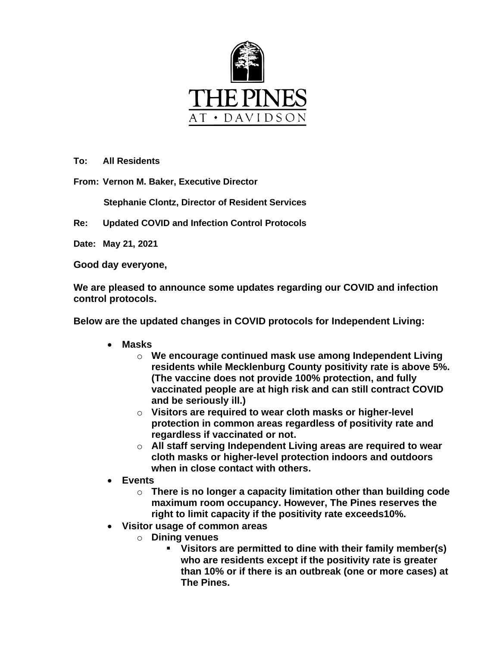

**To: All Residents**

**From: Vernon M. Baker, Executive Director** 

 **Stephanie Clontz, Director of Resident Services**

**Re: Updated COVID and Infection Control Protocols** 

**Date: May 21, 2021**

**Good day everyone,**

**We are pleased to announce some updates regarding our COVID and infection control protocols.** 

**Below are the updated changes in COVID protocols for Independent Living:**

- **Masks**
	- o **We encourage continued mask use among Independent Living residents while Mecklenburg County positivity rate is above 5%. (The vaccine does not provide 100% protection, and fully vaccinated people are at high risk and can still contract COVID and be seriously ill.)**
	- o **Visitors are required to wear cloth masks or higher-level protection in common areas regardless of positivity rate and regardless if vaccinated or not.**
	- o **All staff serving Independent Living areas are required to wear cloth masks or higher-level protection indoors and outdoors when in close contact with others.**
- **Events**
	- o **There is no longer a capacity limitation other than building code maximum room occupancy. However, The Pines reserves the right to limit capacity if the positivity rate exceeds10%.**
- **Visitor usage of common areas**
	- o **Dining venues**
		- **Visitors are permitted to dine with their family member(s) who are residents except if the positivity rate is greater than 10% or if there is an outbreak (one or more cases) at The Pines.**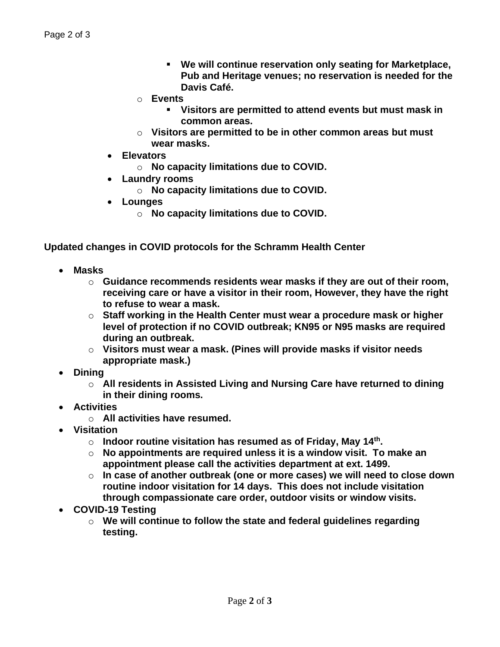- **We will continue reservation only seating for Marketplace, Pub and Heritage venues; no reservation is needed for the Davis Café.**
- o **Events**
	- **Visitors are permitted to attend events but must mask in common areas.**
- o **Visitors are permitted to be in other common areas but must wear masks.**
- **Elevators**
	- o **No capacity limitations due to COVID.**
- **Laundry rooms**
	- o **No capacity limitations due to COVID.**
- **Lounges**
	- o **No capacity limitations due to COVID.**

**Updated changes in COVID protocols for the Schramm Health Center** 

- **Masks**
	- o **Guidance recommends residents wear masks if they are out of their room, receiving care or have a visitor in their room, However, they have the right to refuse to wear a mask.**
	- o **Staff working in the Health Center must wear a procedure mask or higher level of protection if no COVID outbreak; KN95 or N95 masks are required during an outbreak.**
	- o **Visitors must wear a mask. (Pines will provide masks if visitor needs appropriate mask.)**
- **Dining**
	- o **All residents in Assisted Living and Nursing Care have returned to dining in their dining rooms.**
- **Activities**
	- o **All activities have resumed.**
- **Visitation**
	- o **Indoor routine visitation has resumed as of Friday, May 14th .**
	- o **No appointments are required unless it is a window visit. To make an appointment please call the activities department at ext. 1499.**
	- o **In case of another outbreak (one or more cases) we will need to close down routine indoor visitation for 14 days. This does not include visitation through compassionate care order, outdoor visits or window visits.**
- **COVID-19 Testing**
	- o **We will continue to follow the state and federal guidelines regarding testing.**